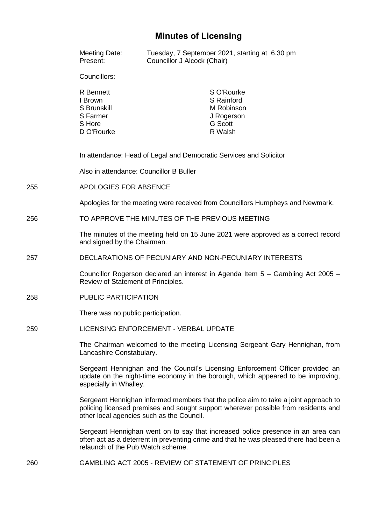# **Minutes of Licensing**

|     | Meeting Date:<br>Present:                                                                                                                                                                                              | Tuesday, 7 September 2021, starting at 6.30 pm<br>Councillor J Alcock (Chair) |                                                                                   |  |
|-----|------------------------------------------------------------------------------------------------------------------------------------------------------------------------------------------------------------------------|-------------------------------------------------------------------------------|-----------------------------------------------------------------------------------|--|
|     | Councillors:                                                                                                                                                                                                           |                                                                               |                                                                                   |  |
|     | R Bennett<br>I Brown<br>S Brunskill<br>S Farmer<br>S Hore<br>D O'Rourke                                                                                                                                                |                                                                               | S O'Rourke<br>S Rainford<br>M Robinson<br>J Rogerson<br><b>G</b> Scott<br>R Walsh |  |
|     | In attendance: Head of Legal and Democratic Services and Solicitor                                                                                                                                                     |                                                                               |                                                                                   |  |
|     | Also in attendance: Councillor B Buller                                                                                                                                                                                |                                                                               |                                                                                   |  |
| 255 | APOLOGIES FOR ABSENCE                                                                                                                                                                                                  |                                                                               |                                                                                   |  |
|     |                                                                                                                                                                                                                        |                                                                               | Apologies for the meeting were received from Councillors Humpheys and Newmark.    |  |
| 256 | TO APPROVE THE MINUTES OF THE PREVIOUS MEETING                                                                                                                                                                         |                                                                               |                                                                                   |  |
|     | The minutes of the meeting held on 15 June 2021 were approved as a correct record<br>and signed by the Chairman.                                                                                                       |                                                                               |                                                                                   |  |
| 257 |                                                                                                                                                                                                                        |                                                                               | DECLARATIONS OF PECUNIARY AND NON-PECUNIARY INTERESTS                             |  |
|     | Review of Statement of Principles.                                                                                                                                                                                     |                                                                               | Councillor Rogerson declared an interest in Agenda Item 5 - Gambling Act 2005 -   |  |
| 258 | <b>PUBLIC PARTICIPATION</b>                                                                                                                                                                                            |                                                                               |                                                                                   |  |
|     | There was no public participation.                                                                                                                                                                                     |                                                                               |                                                                                   |  |
| 259 | LICENSING ENFORCEMENT - VERBAL UPDATE                                                                                                                                                                                  |                                                                               |                                                                                   |  |
|     | The Chairman welcomed to the meeting Licensing Sergeant Gary Hennighan, from<br>Lancashire Constabulary.                                                                                                               |                                                                               |                                                                                   |  |
|     | Sergeant Hennighan and the Council's Licensing Enforcement Officer provided an<br>update on the night-time economy in the borough, which appeared to be improving,<br>especially in Whalley.                           |                                                                               |                                                                                   |  |
|     | Sergeant Hennighan informed members that the police aim to take a joint approach to<br>policing licensed premises and sought support wherever possible from residents and<br>other local agencies such as the Council. |                                                                               |                                                                                   |  |
|     | Sergeant Hennighan went on to say that increased police presence in an area can<br>often act as a deterrent in preventing crime and that he was pleased there had been a<br>relaunch of the Pub Watch scheme.          |                                                                               |                                                                                   |  |
|     |                                                                                                                                                                                                                        |                                                                               |                                                                                   |  |

260 GAMBLING ACT 2005 - REVIEW OF STATEMENT OF PRINCIPLES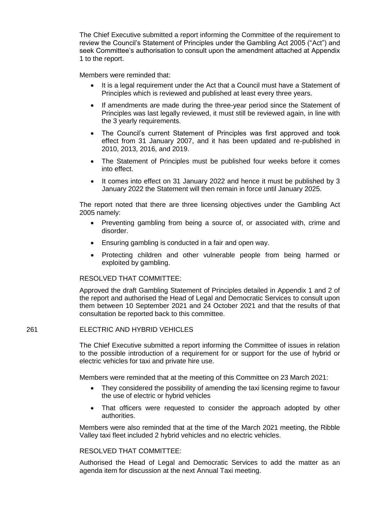The Chief Executive submitted a report informing the Committee of the requirement to review the Council's Statement of Principles under the Gambling Act 2005 ("Act") and seek Committee's authorisation to consult upon the amendment attached at Appendix 1 to the report.

Members were reminded that:

- It is a legal requirement under the Act that a Council must have a Statement of Principles which is reviewed and published at least every three years.
- If amendments are made during the three-year period since the Statement of Principles was last legally reviewed, it must still be reviewed again, in line with the 3 yearly requirements.
- The Council's current Statement of Principles was first approved and took effect from 31 January 2007, and it has been updated and re-published in 2010, 2013, 2016, and 2019.
- The Statement of Principles must be published four weeks before it comes into effect.
- It comes into effect on 31 January 2022 and hence it must be published by 3 January 2022 the Statement will then remain in force until January 2025.

The report noted that there are three licensing objectives under the Gambling Act 2005 namely:

- Preventing gambling from being a source of, or associated with, crime and disorder.
- Ensuring gambling is conducted in a fair and open way.
- Protecting children and other vulnerable people from being harmed or exploited by gambling.

# RESOLVED THAT COMMITTEE:

Approved the draft Gambling Statement of Principles detailed in Appendix 1 and 2 of the report and authorised the Head of Legal and Democratic Services to consult upon them between 10 September 2021 and 24 October 2021 and that the results of that consultation be reported back to this committee.

#### 261 ELECTRIC AND HYBRID VEHICLES

The Chief Executive submitted a report informing the Committee of issues in relation to the possible introduction of a requirement for or support for the use of hybrid or electric vehicles for taxi and private hire use.

Members were reminded that at the meeting of this Committee on 23 March 2021:

- They considered the possibility of amending the taxi licensing regime to favour the use of electric or hybrid vehicles
- That officers were requested to consider the approach adopted by other authorities.

Members were also reminded that at the time of the March 2021 meeting, the Ribble Valley taxi fleet included 2 hybrid vehicles and no electric vehicles.

## RESOLVED THAT COMMITTEE:

Authorised the Head of Legal and Democratic Services to add the matter as an agenda item for discussion at the next Annual Taxi meeting.